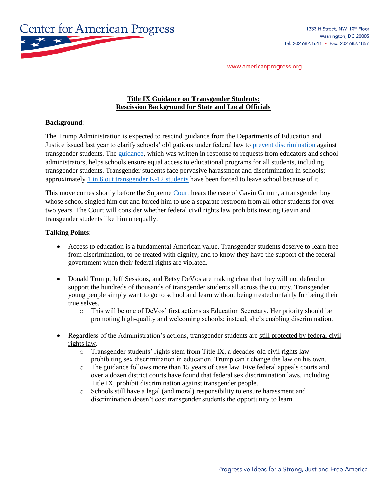

www.americanprogress.org

## **Title IX Guidance on Transgender Students: Rescission Background for State and Local Officials**

## **Background**:

The Trump Administration is expected to rescind guidance from the Departments of Education and Justice issued last year to clarify schools' obligations under federal law to [prevent discrimination](https://www.washingtonblade.com/2017/02/20/trump-administration-rescind-obama-era-trans-students-protections/) against transgender students. The [guidance,](https://www2.ed.gov/about/offices/list/ocr/letters/colleague-201605-title-ix-transgender.pdf) which was written in response to requests from educators and school administrators, helps schools ensure equal access to educational programs for all students, including transgender students. Transgender students face pervasive harassment and discrimination in schools; approximately [1 in 6 out transgender K-12 students](http://www.ustranssurvey.org/) have been forced to leave school because of it.

This move comes shortly before the Supreme [Court](http://www.ustranssurvey.org/) hears the case of Gavin Grimm, a transgender boy whose school singled him out and forced him to use a separate restroom from all other students for over two years. The Court will consider whether federal civil rights law prohibits treating Gavin and transgender students like him unequally.

## **Talking Points**:

- Access to education is a fundamental American value. Transgender students deserve to learn free from discrimination, to be treated with dignity, and to know they have the support of the federal government when their federal rights are violated.
- Donald Trump, Jeff Sessions, and Betsy DeVos are making clear that they will not defend or support the hundreds of thousands of transgender students all across the country. Transgender young people simply want to go to school and learn without being treated unfairly for being their true selves.
	- o This will be one of DeVos' first actions as Education Secretary. Her priority should be promoting high-quality and welcoming schools; instead, she's enabling discrimination.
- Regardless of the Administration's actions, transgender students are still protected by federal civil rights law.
	- $\circ$  Transgender students' rights stem from Title IX, a decades-old civil rights law prohibiting sex discrimination in education. Trump can't change the law on his own.
	- o The guidance follows more than 15 years of case law. Five federal appeals courts and over a dozen district courts have found that federal sex discrimination laws, including Title IX, prohibit discrimination against transgender people.
	- o Schools still have a legal (and moral) responsibility to ensure harassment and discrimination doesn't cost transgender students the opportunity to learn.